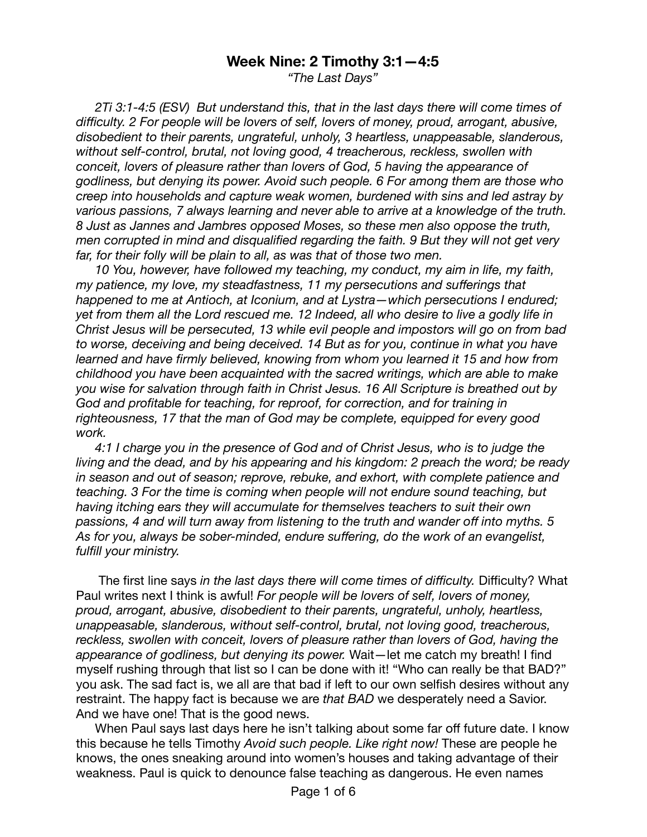## **Week Nine: 2 Timothy 3:1—4:5**

*"The Last Days"* 

*2Ti 3:1-4:5 (ESV) But understand this, that in the last days there will come times of difficulty. 2 For people will be lovers of self, lovers of money, proud, arrogant, abusive, disobedient to their parents, ungrateful, unholy, 3 heartless, unappeasable, slanderous, without self-control, brutal, not loving good, 4 treacherous, reckless, swollen with conceit, lovers of pleasure rather than lovers of God, 5 having the appearance of godliness, but denying its power. Avoid such people. 6 For among them are those who creep into households and capture weak women, burdened with sins and led astray by various passions, 7 always learning and never able to arrive at a knowledge of the truth. 8 Just as Jannes and Jambres opposed Moses, so these men also oppose the truth, men corrupted in mind and disqualified regarding the faith. 9 But they will not get very*  far, for their folly will be plain to all, as was that of those two men.

*10 You, however, have followed my teaching, my conduct, my aim in life, my faith, my patience, my love, my steadfastness, 11 my persecutions and sufferings that happened to me at Antioch, at Iconium, and at Lystra—which persecutions I endured; yet from them all the Lord rescued me. 12 Indeed, all who desire to live a godly life in Christ Jesus will be persecuted, 13 while evil people and impostors will go on from bad to worse, deceiving and being deceived. 14 But as for you, continue in what you have learned and have firmly believed, knowing from whom you learned it 15 and how from childhood you have been acquainted with the sacred writings, which are able to make you wise for salvation through faith in Christ Jesus. 16 All Scripture is breathed out by God and profitable for teaching, for reproof, for correction, and for training in righteousness, 17 that the man of God may be complete, equipped for every good work.* 

*4:1 I charge you in the presence of God and of Christ Jesus, who is to judge the living and the dead, and by his appearing and his kingdom: 2 preach the word; be ready in season and out of season; reprove, rebuke, and exhort, with complete patience and teaching. 3 For the time is coming when people will not endure sound teaching, but having itching ears they will accumulate for themselves teachers to suit their own passions, 4 and will turn away from listening to the truth and wander off into myths. 5 As for you, always be sober-minded, endure suffering, do the work of an evangelist, fulfill your ministry.* 

 The first line says *in the last days there will come times of difficulty.* Difficulty? What Paul writes next I think is awful! *For people will be lovers of self, lovers of money, proud, arrogant, abusive, disobedient to their parents, ungrateful, unholy, heartless, unappeasable, slanderous, without self-control, brutal, not loving good, treacherous, reckless, swollen with conceit, lovers of pleasure rather than lovers of God, having the appearance of godliness, but denying its power.* Wait—let me catch my breath! I find myself rushing through that list so I can be done with it! "Who can really be that BAD?" you ask. The sad fact is, we all are that bad if left to our own selfish desires without any restraint. The happy fact is because we are *that BAD* we desperately need a Savior. And we have one! That is the good news.

When Paul says last days here he isn't talking about some far off future date. I know this because he tells Timothy *Avoid such people. Like right now!* These are people he knows, the ones sneaking around into women's houses and taking advantage of their weakness. Paul is quick to denounce false teaching as dangerous. He even names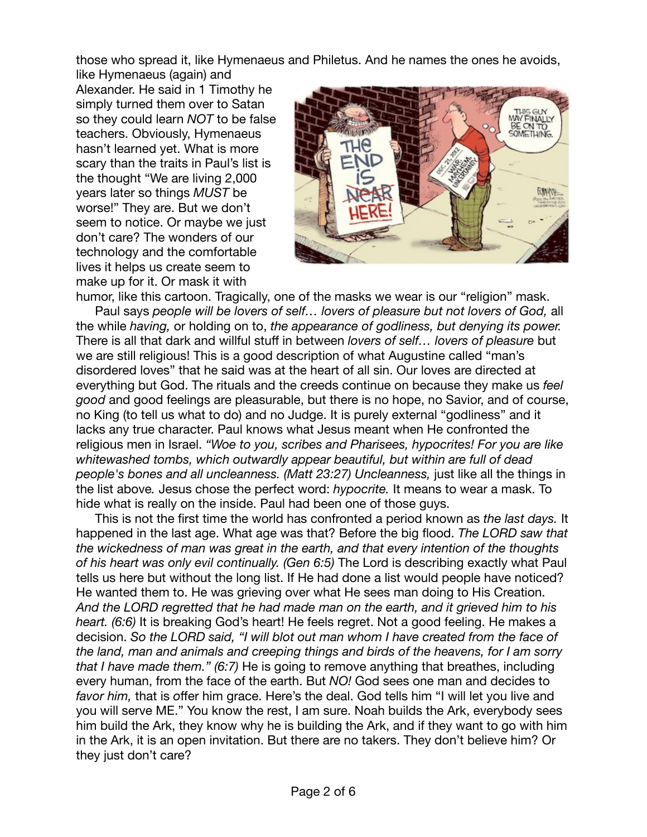those who spread it, like Hymenaeus and Philetus. And he names the ones he avoids,

like Hymenaeus (again) and Alexander. He said in 1 Timothy he simply turned them over to Satan so they could learn *NOT* to be false teachers. Obviously, Hymenaeus hasn't learned yet. What is more scary than the traits in Paul's list is the thought "We are living 2,000 years later so things *MUST* be worse!" They are. But we don't seem to notice. Or maybe we just don't care? The wonders of our technology and the comfortable lives it helps us create seem to make up for it. Or mask it with



humor, like this cartoon. Tragically, one of the masks we wear is our "religion" mask. Paul says *people will be lovers of self… lovers of pleasure but not lovers of God,* all the while *having,* or holding on to, *the appearance of godliness, but denying its power.*  There is all that dark and willful stuff in between *lovers of self… lovers of pleasure* but we are still religious! This is a good description of what Augustine called "man's disordered loves" that he said was at the heart of all sin. Our loves are directed at everything but God. The rituals and the creeds continue on because they make us *feel good* and good feelings are pleasurable, but there is no hope, no Savior, and of course, no King (to tell us what to do) and no Judge. It is purely external "godliness" and it lacks any true character. Paul knows what Jesus meant when He confronted the religious men in Israel. *"Woe to you, scribes and Pharisees, hypocrites! For you are like whitewashed tombs, which outwardly appear beautiful, but within are full of dead people's bones and all uncleanness. (Matt 23:27) Uncleanness,* just like all the things in the list above*.* Jesus chose the perfect word: *hypocrite.* It means to wear a mask. To hide what is really on the inside. Paul had been one of those guys.

This is not the first time the world has confronted a period known as *the last days.* It happened in the last age. What age was that? Before the big flood. *The LORD saw that the wickedness of man was great in the earth, and that every intention of the thoughts of his heart was only evil continually. (Gen 6:5)* The Lord is describing exactly what Paul tells us here but without the long list. If He had done a list would people have noticed? He wanted them to. He was grieving over what He sees man doing to His Creation. *And the LORD regretted that he had made man on the earth, and it grieved him to his heart. (6:6)* It is breaking God's heart! He feels regret. Not a good feeling. He makes a decision. *So the LORD said, "I will blot out man whom I have created from the face of the land, man and animals and creeping things and birds of the heavens, for I am sorry that I have made them." (6:7)* He is going to remove anything that breathes, including every human, from the face of the earth. But *NO!* God sees one man and decides to *favor him,* that is *o*ffer him grace. Here's the deal. God tells him "I will let you live and you will serve ME." You know the rest, I am sure. Noah builds the Ark, everybody sees him build the Ark, they know why he is building the Ark, and if they want to go with him in the Ark, it is an open invitation. But there are no takers. They don't believe him? Or they just don't care?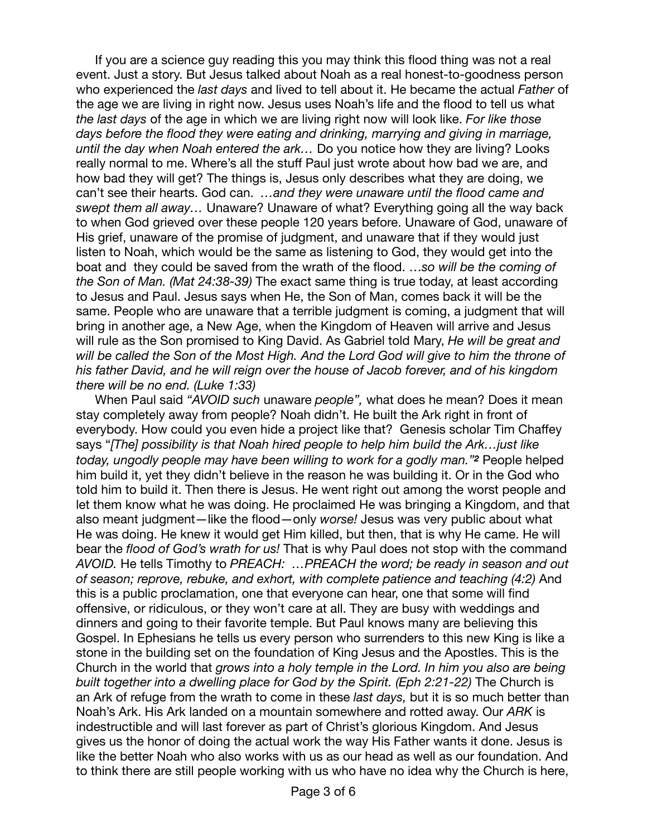If you are a science guy reading this you may think this flood thing was not a real event. Just a story. But Jesus talked about Noah as a real honest-to-goodness person who experienced the *last days* and lived to tell about it. He became the actual *Father* of the age we are living in right now. Jesus uses Noah's life and the flood to tell us what *the last days* of the age in which we are living right now will look like. *For like those days before the flood they were eating and drinking, marrying and giving in marriage, until the day when Noah entered the ark…* Do you notice how they are living? Looks really normal to me. Where's all the stuff Paul just wrote about how bad we are, and how bad they will get? The things is, Jesus only describes what they are doing, we can't see their hearts. God can. *…and they were unaware until the flood came and swept them all away…* Unaware? Unaware of what? Everything going all the way back to when God grieved over these people 120 years before. Unaware of God, unaware of His grief, unaware of the promise of judgment, and unaware that if they would just listen to Noah, which would be the same as listening to God, they would get into the boat and they could be saved from the wrath of the flood. …*so will be the coming of the Son of Man. (Mat 24:38-39)* The exact same thing is true today, at least according to Jesus and Paul. Jesus says when He, the Son of Man, comes back it will be the same. People who are unaware that a terrible judgment is coming, a judgment that will bring in another age, a New Age, when the Kingdom of Heaven will arrive and Jesus will rule as the Son promised to King David. As Gabriel told Mary, *He will be great and will be called the Son of the Most High. And the Lord God will give to him the throne of his father David, and he will reign over the house of Jacob forever, and of his kingdom there will be no end. (Luke 1:33)*

When Paul said *"AVOID such* unaware *people",* what does he mean? Does it mean stay completely away from people? Noah didn't. He built the Ark right in front of everybody. How could you even hide a project like that? Genesis scholar Tim Chaffey says "*[The] possibility is that Noah hired people to help him build the Ark…just like today, ungodly people may have been willing to work for a godly man."<sup>2</sup>* People helped him build it, yet they didn't believe in the reason he was building it. Or in the God who told him to build it. Then there is Jesus. He went right out among the worst people and let them know what he was doing. He proclaimed He was bringing a Kingdom, and that also meant judgment—like the flood—only *worse!* Jesus was very public about what He was doing. He knew it would get Him killed, but then, that is why He came. He will bear the *flood of God's wrath for us!* That is why Paul does not stop with the command *AVOID.* He tells Timothy to *PREACH: …PREACH the word; be ready in season and out of season; reprove, rebuke, and exhort, with complete patience and teaching (4:2)* And this is a public proclamation, one that everyone can hear, one that some will find offensive, or ridiculous, or they won't care at all. They are busy with weddings and dinners and going to their favorite temple. But Paul knows many are believing this Gospel. In Ephesians he tells us every person who surrenders to this new King is like a stone in the building set on the foundation of King Jesus and the Apostles. This is the Church in the world that *grows into a holy temple in the Lord. In him you also are being built together into a dwelling place for God by the Spirit. (Eph 2:21-22)* The Church is an Ark of refuge from the wrath to come in these *last days,* but it is so much better than Noah's Ark. His Ark landed on a mountain somewhere and rotted away. Our *ARK* is indestructible and will last forever as part of Christ's glorious Kingdom. And Jesus gives us the honor of doing the actual work the way His Father wants it done. Jesus is like the better Noah who also works with us as our head as well as our foundation. And to think there are still people working with us who have no idea why the Church is here,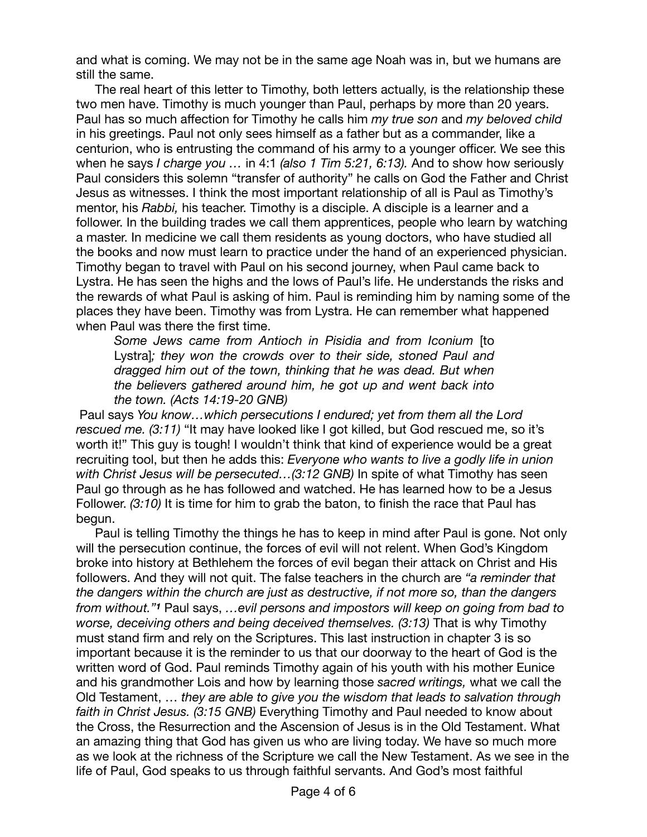and what is coming. We may not be in the same age Noah was in, but we humans are still the same.

The real heart of this letter to Timothy, both letters actually, is the relationship these two men have. Timothy is much younger than Paul, perhaps by more than 20 years. Paul has so much affection for Timothy he calls him *my true son* and *my beloved child*  in his greetings. Paul not only sees himself as a father but as a commander, like a centurion, who is entrusting the command of his army to a younger officer. We see this when he says *I charge you …* in 4:1 *(also 1 Tim 5:21, 6:13).* And to show how seriously Paul considers this solemn "transfer of authority" he calls on God the Father and Christ Jesus as witnesses. I think the most important relationship of all is Paul as Timothy's mentor, his *Rabbi,* his teacher. Timothy is a disciple. A disciple is a learner and a follower. In the building trades we call them apprentices, people who learn by watching a master. In medicine we call them residents as young doctors, who have studied all the books and now must learn to practice under the hand of an experienced physician. Timothy began to travel with Paul on his second journey, when Paul came back to Lystra. He has seen the highs and the lows of Paul's life. He understands the risks and the rewards of what Paul is asking of him. Paul is reminding him by naming some of the places they have been. Timothy was from Lystra. He can remember what happened when Paul was there the first time.

*Some Jews came from Antioch in Pisidia and from Iconium* [to Lystra]*; they won the crowds over to their side, stoned Paul and dragged him out of the town, thinking that he was dead. But when the believers gathered around him, he got up and went back into the town. (Acts 14:19-20 GNB)* 

 Paul says *You know…which persecutions I endured; yet from them all the Lord rescued me. (3:11)* "It may have looked like I got killed, but God rescued me, so it's worth it!" This guy is tough! I wouldn't think that kind of experience would be a great recruiting tool, but then he adds this: *Everyone who wants to live a godly life in union with Christ Jesus will be persecuted…(3:12 GNB)* In spite of what Timothy has seen Paul go through as he has followed and watched. He has learned how to be a Jesus Follower. *(3:10)* It is time for him to grab the baton, to finish the race that Paul has begun.

Paul is telling Timothy the things he has to keep in mind after Paul is gone. Not only will the persecution continue, the forces of evil will not relent. When God's Kingdom broke into history at Bethlehem the forces of evil began their attack on Christ and His followers. And they will not quit. The false teachers in the church are *"a reminder that the dangers within the church are just as destructive, if not more so, than the dangers from without."<sup>1</sup>* Paul says, *…evil persons and impostors will keep on going from bad to worse, deceiving others and being deceived themselves. (3:13)* That is why Timothy must stand firm and rely on the Scriptures. This last instruction in chapter 3 is so important because it is the reminder to us that our doorway to the heart of God is the written word of God. Paul reminds Timothy again of his youth with his mother Eunice and his grandmother Lois and how by learning those *sacred writings,* what we call the Old Testament, … *they are able to give you the wisdom that leads to salvation through faith in Christ Jesus. (3:15 GNB)* Everything Timothy and Paul needed to know about the Cross, the Resurrection and the Ascension of Jesus is in the Old Testament. What an amazing thing that God has given us who are living today. We have so much more as we look at the richness of the Scripture we call the New Testament. As we see in the life of Paul, God speaks to us through faithful servants. And God's most faithful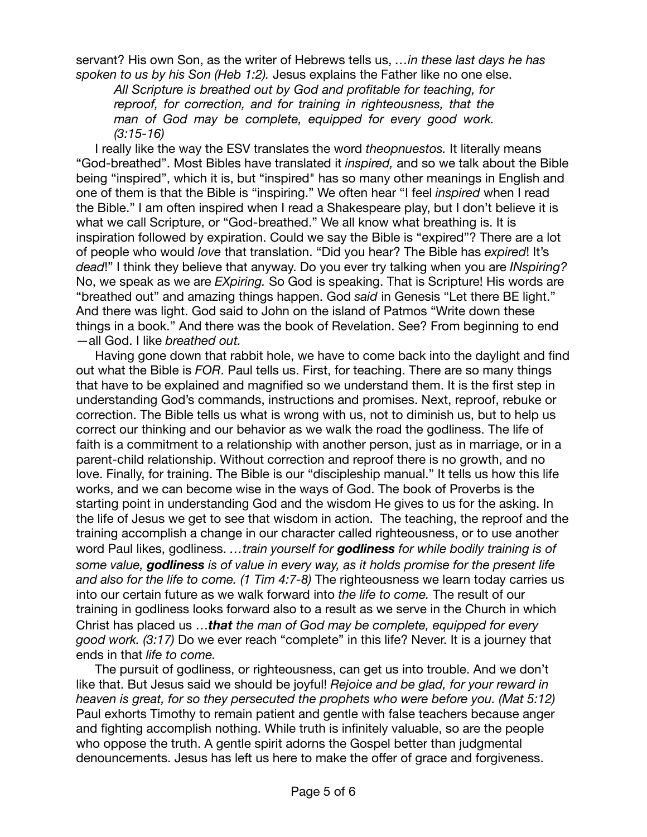servant? His own Son, as the writer of Hebrews tells us, *…in these last days he has spoken to us by his Son (Heb 1:2).* Jesus explains the Father like no one else.

*All Scripture is breathed out by God and profitable for teaching, for reproof, for correction, and for training in righteousness, that the man of God may be complete, equipped for every good work. (3:15-16)* 

I really like the way the ESV translates the word *theopnuestos.* It literally means "God-breathed". Most Bibles have translated it *inspired,* and so we talk about the Bible being "inspired", which it is, but "inspired" has so many other meanings in English and one of them is that the Bible is "inspiring." We often hear "I feel *inspired* when I read the Bible." I am often inspired when I read a Shakespeare play, but I don't believe it is what we call Scripture, or "God-breathed." We all know what breathing is. It is inspiration followed by expiration. Could we say the Bible is "expired"? There are a lot of people who would *love* that translation. "Did you hear? The Bible has *expired*! It's *dead*!" I think they believe that anyway. Do you ever try talking when you are *INspiring?*  No, we speak as we are *EXpiring.* So God is speaking. That is Scripture! His words are "breathed out" and amazing things happen. God *said* in Genesis "Let there BE light." And there was light. God said to John on the island of Patmos "Write down these things in a book." And there was the book of Revelation. See? From beginning to end —all God. I like *breathed out.* 

Having gone down that rabbit hole, we have to come back into the daylight and find out what the Bible is *FOR*. Paul tells us. First, for teaching. There are so many things that have to be explained and magnified so we understand them. It is the first step in understanding God's commands, instructions and promises. Next, reproof, rebuke or correction. The Bible tells us what is wrong with us, not to diminish us, but to help us correct our thinking and our behavior as we walk the road the godliness. The life of faith is a commitment to a relationship with another person, just as in marriage, or in a parent-child relationship. Without correction and reproof there is no growth, and no love. Finally, for training. The Bible is our "discipleship manual." It tells us how this life works, and we can become wise in the ways of God. The book of Proverbs is the starting point in understanding God and the wisdom He gives to us for the asking. In the life of Jesus we get to see that wisdom in action. The teaching, the reproof and the training accomplish a change in our character called righteousness, or to use another word Paul likes, godliness. *…train yourself for godliness for while bodily training is of some value, godliness is of value in every way, as it holds promise for the present life and also for the life to come. (1 Tim 4:7-8)* The righteousness we learn today carries us into our certain future as we walk forward into *the life to come.* The result of our training in godliness looks forward also to a result as we serve in the Church in which Christ has placed us …*that the man of God may be complete, equipped for every good work. (3:17)* Do we ever reach "complete" in this life? Never. It is a journey that ends in that *life to come.* 

The pursuit of godliness, or righteousness, can get us into trouble. And we don't like that. But Jesus said we should be joyful! *Rejoice and be glad, for your reward in heaven is great, for so they persecuted the prophets who were before you. (Mat 5:12)* Paul exhorts Timothy to remain patient and gentle with false teachers because anger and fighting accomplish nothing. While truth is infinitely valuable, so are the people who oppose the truth. A gentle spirit adorns the Gospel better than judgmental denouncements. Jesus has left us here to make the offer of grace and forgiveness.